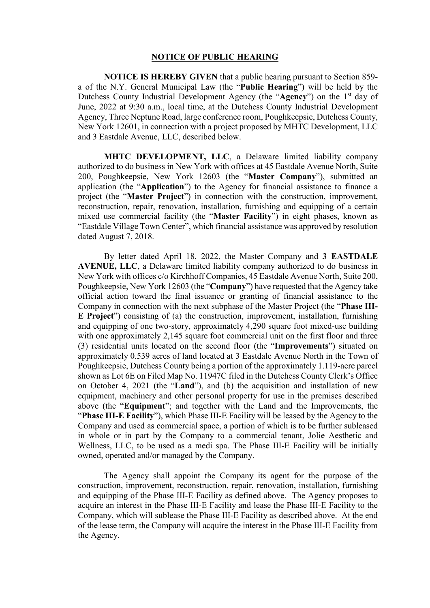## **NOTICE OF PUBLIC HEARING**

**NOTICE IS HEREBY GIVEN** that a public hearing pursuant to Section 859 a of the N.Y. General Municipal Law (the "**Public Hearing**") will be held by the Dutchess County Industrial Development Agency (the "**Agency**") on the 1st day of June, 2022 at 9:30 a.m., local time, at the Dutchess County Industrial Development Agency, Three Neptune Road, large conference room, Poughkeepsie, Dutchess County, New York 12601, in connection with a project proposed by MHTC Development, LLC and 3 Eastdale Avenue, LLC, described below.

**MHTC DEVELOPMENT, LLC**, a Delaware limited liability company authorized to do business in New York with offices at 45 Eastdale Avenue North, Suite 200, Poughkeepsie, New York 12603 (the "**Master Company**"), submitted an application (the "**Application**") to the Agency for financial assistance to finance a project (the "**Master Project**") in connection with the construction, improvement, reconstruction, repair, renovation, installation, furnishing and equipping of a certain mixed use commercial facility (the "**Master Facility**") in eight phases, known as "Eastdale Village Town Center", which financial assistance was approved by resolution dated August 7, 2018.

By letter dated April 18, 2022, the Master Company and **3 EASTDALE AVENUE, LLC**, a Delaware limited liability company authorized to do business in New York with offices c/o Kirchhoff Companies, 45 Eastdale Avenue North, Suite 200, Poughkeepsie, New York 12603 (the "**Company**") have requested that the Agency take official action toward the final issuance or granting of financial assistance to the Company in connection with the next subphase of the Master Project (the "**Phase III-E Project**") consisting of (a) the construction, improvement, installation, furnishing and equipping of one two-story, approximately 4,290 square foot mixed-use building with one approximately 2,145 square foot commercial unit on the first floor and three (3) residential units located on the second floor (the "**Improvements**") situated on approximately 0.539 acres of land located at 3 Eastdale Avenue North in the Town of Poughkeepsie, Dutchess County being a portion of the approximately 1.119-acre parcel shown as Lot 6E on Filed Map No. 11947C filed in the Dutchess County Clerk's Office on October 4, 2021 (the "**Land**"), and (b) the acquisition and installation of new equipment, machinery and other personal property for use in the premises described above (the "**Equipment**"; and together with the Land and the Improvements, the "**Phase III-E Facility**"), which Phase III-E Facility will be leased by the Agency to the Company and used as commercial space, a portion of which is to be further subleased in whole or in part by the Company to a commercial tenant, Jolie Aesthetic and Wellness, LLC, to be used as a medi spa. The Phase III-E Facility will be initially owned, operated and/or managed by the Company.

The Agency shall appoint the Company its agent for the purpose of the construction, improvement, reconstruction, repair, renovation, installation, furnishing and equipping of the Phase III-E Facility as defined above. The Agency proposes to acquire an interest in the Phase III-E Facility and lease the Phase III-E Facility to the Company, which will sublease the Phase III-E Facility as described above. At the end of the lease term, the Company will acquire the interest in the Phase III-E Facility from the Agency.